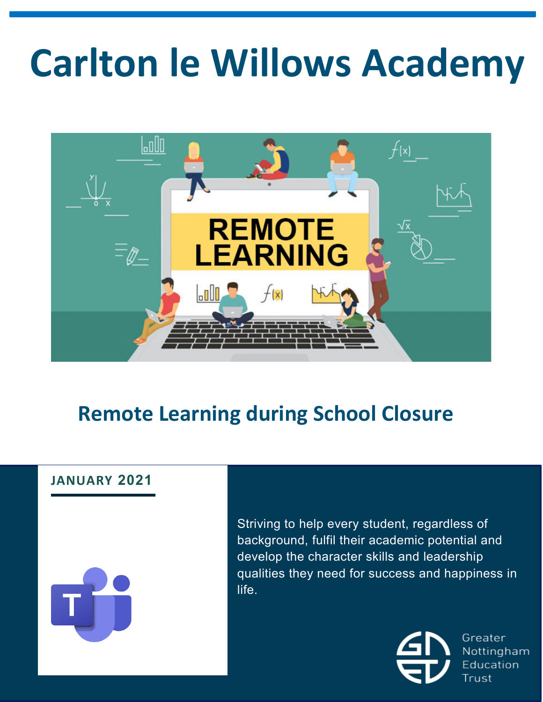# **Carlton le Willows Academy**



# **Remote Learning during School Closure**

# **JANUARY 2021**

Striving to help every student, regardless of background, fulfil their academic potential and develop the character skills and leadership qualities they need for success and happiness in life.



Greater Nottingham **Education** Trust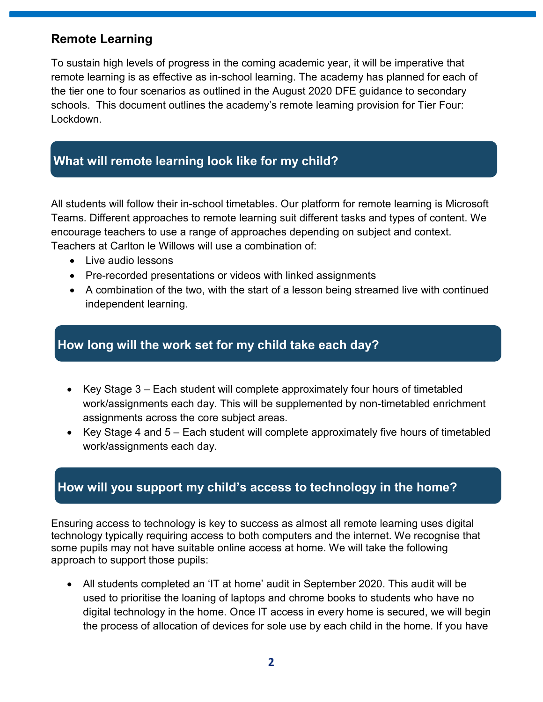#### **Remote Learning**

To sustain high levels of progress in the coming academic year, it will be imperative that remote learning is as effective as in-school learning. The academy has planned for each of the tier one to four scenarios as outlined in the August 2020 DFE guidance to secondary schools. This document outlines the academy's remote learning provision for Tier Four: Lockdown.

## **What will remote learning look like for my child?**

All students will follow their in-school timetables. Our platform for remote learning is Microsoft Teams. Different approaches to remote learning suit different tasks and types of content. We encourage teachers to use a range of approaches depending on subject and context. Teachers at Carlton le Willows will use a combination of:

- Live audio lessons
- Pre-recorded presentations or videos with linked assignments
- A combination of the two, with the start of a lesson being streamed live with continued independent learning.

#### **How long will the work set for my child take each day?**

- Key Stage 3 Each student will complete approximately four hours of timetabled work/assignments each day. This will be supplemented by non-timetabled enrichment assignments across the core subject areas.
- Key Stage 4 and 5 Each student will complete approximately five hours of timetabled work/assignments each day.

#### **How will you support my child's access to technology in the home?**

Ensuring access to technology is key to success as almost all remote learning uses digital technology typically requiring access to both computers and the internet. We recognise that some pupils may not have suitable online access at home. We will take the following approach to support those pupils:

• All students completed an 'IT at home' audit in September 2020. This audit will be used to prioritise the loaning of laptops and chrome books to students who have no digital technology in the home. Once IT access in every home is secured, we will begin the process of allocation of devices for sole use by each child in the home. If you have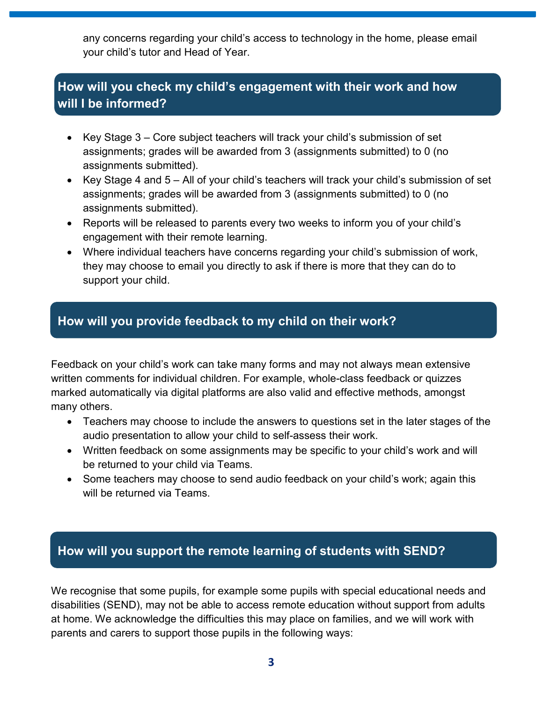any concerns regarding your child's access to technology in the home, please email your child's tutor and Head of Year.

# **How will you check my child's engagement with their work and how will I be informed?**

- Key Stage 3 Core subject teachers will track your child's submission of set assignments; grades will be awarded from 3 (assignments submitted) to 0 (no assignments submitted).
- Key Stage 4 and 5 All of your child's teachers will track your child's submission of set assignments; grades will be awarded from 3 (assignments submitted) to 0 (no assignments submitted).
- Reports will be released to parents every two weeks to inform you of your child's engagement with their remote learning.
- Where individual teachers have concerns regarding your child's submission of work, they may choose to email you directly to ask if there is more that they can do to support your child.

#### **How will you provide feedback to my child on their work?**

Feedback on your child's work can take many forms and may not always mean extensive written comments for individual children. For example, whole-class feedback or quizzes marked automatically via digital platforms are also valid and effective methods, amongst many others.

- Teachers may choose to include the answers to questions set in the later stages of the audio presentation to allow your child to self-assess their work.
- Written feedback on some assignments may be specific to your child's work and will be returned to your child via Teams.
- Some teachers may choose to send audio feedback on your child's work; again this will be returned via Teams.

## **How will you support the remote learning of students with SEND?**

We recognise that some pupils, for example some pupils with special educational needs and disabilities (SEND), may not be able to access remote education without support from adults at home. We acknowledge the difficulties this may place on families, and we will work with parents and carers to support those pupils in the following ways: